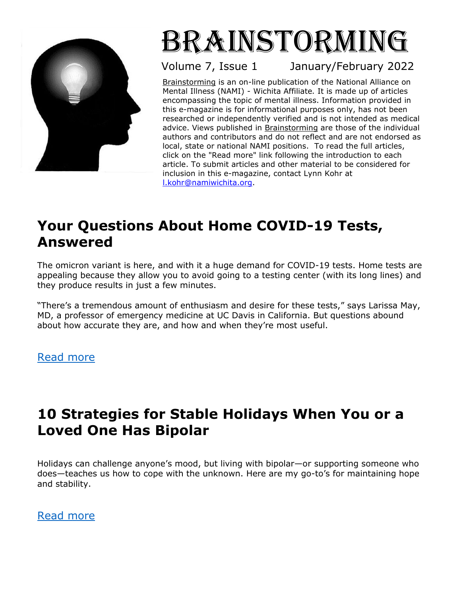

# Brainstorming

Volume 7, Issue 1

January/February 2022

Brainstorming is an on-line publication of the National Alliance on Mental Illness (NAMI) - Wichita Affiliate*.* It is made up of articles encompassing the topic of mental illness. Information provided in this e-magazine is for informational purposes only, has not been researched or independently verified and is not intended as medical advice. Views published in **Brainstorming** are those of the individual authors and contributors and do not reflect and are not endorsed as local, state or national NAMI positions. To read the full articles, click on the "Read more" link following the introduction to each article. To submit articles and other material to be considered for inclusion in this e-magazine, contact Lynn Kohr at [l.kohr@namiwichita.org.](about:blank)

# **Your Questions About Home COVID-19 Tests, Answered**

The [omicron variant](https://www.consumerreports.org/covid-19/your-questions-about-omicron-answered-a3351440900/) is here, and with it a huge demand for COVID-19 tests. Home tests are appealing because they allow you to avoid going to a testing center (with its long lines) and they produce results in just a few minutes.

"There's a tremendous amount of enthusiasm and desire for these tests," says Larissa May, MD, a professor of emergency medicine at UC Davis in California. But questions abound about how accurate they are, and how and when they're most useful.

[Read more](https://www.consumerreports.org/covid-19/your-questions-about-home-covid-19-tests-answered-a5239963714/?EXTKEY=NWT1CTSB5&utm_source=acxiom&utm_medium=email&utm_campaign=20211231_nsltr_whatsnew_newsletter&utm_nsltr=whatsnew)

# **10 Strategies for Stable Holidays When You or a Loved One Has Bipolar**

Holidays can challenge anyone's mood, but living with bipolar—or supporting someone who does—teaches us how to cope with the unknown. Here are my go-to's for maintaining hope and stability.

[Read more](https://www.bphope.com/blog/10-strategies-getting-through-holiday-season-stress-bipolar-disorder/?utm_source=iContact&utm_medium=email&utm_campaign=hh-headlines&utm_content=HHH+-+Dec23+-+DepressionHolidays+-+INGREZZA)